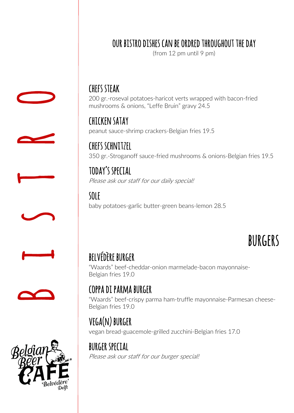### our bistro dishes can be ordred throughout the day

(from 12 pm until 9 pm)

chefs steak 200 gr.-roseval potatoes-haricot verts wrapped with bacon-fried mushrooms & onions, "Leffe Bruin" gravy 24.5

chicken satay peanut sauce-shrimp crackers-Belgian fries 19.5

chefs schnitzel 350 gr.-Stroganoff sauce-fried mushrooms & onions-Belgian fries 19.5

today's special Please ask our staff for our daily special!

sole baby potatoes-garlic butter-green beans-lemon 28.5

## **BURGERS**

### belvédère burger

"Waards" beef-cheddar-onion marmelade-bacon mayonnaise-Belgian fries 19.0

### coppa di parma burger

"Waards" beef-crispy parma ham-truffle mayonnaise-Parmesan cheese-Belgian fries 19.0

### vega(n) burger

vegan bread-guacemole-grilled zucchini-Belgian fries 17.0

burger special Please ask our staff for our burger special!







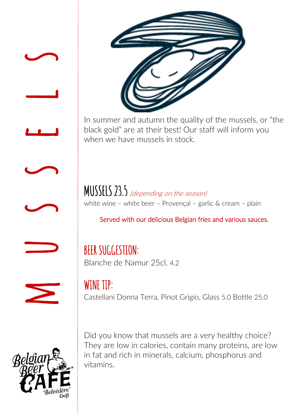



In summer and autumn the quality of the mussels, or "the black gold" are at their best! Our staff will inform you when we have mussels in stock.

MUSSELS 23.5 (depending on the season) white wine – white beer – Provençal – garlic & cream – plain

### Served with our delicious Belgian fries and various sauces.

BEER SUGGESTION: Blanche de Namur 25cl. 4.2

 $\boldsymbol{\Sigma}$ 

 $\implies$ 



WINE TIP: Castellani Donna Terra, Pinot Grigio, Glass 5.0 Bottle 25.0

Did you know that mussels are a very healthy choice? They are low in calories, contain many proteins, are low in fat and rich in minerals, calcium, phosphorus and vitamins.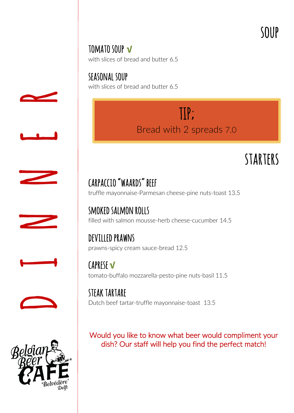## soup tomato soup **<sup>√</sup>** with slices of bread and butter 6.5

seasonal soup with slices of bread and butter 6.5

> TIP; Bread with 2 spreads 7.0

## starters

## carpaccio "waards" beef truffle mayonnaise-Parmesan cheese-pine nuts-toast 13.5

filled with salmon mousse-herb cheese-cucumber 14.5

### devilled prawns prawns-spicy cream sauce-bread 12.5

caprese **√** tomato-buffalo mozzarella-pesto-pine nuts-basil 11.5

steak tartare Dutch beef tartar-truffle mayonnaise-toast 13.5

Would you like to know what beer would compliment your dish? Our staff will help you find the perfect match!









smoked salmon rolls

 $\overline{\phantom{a}}$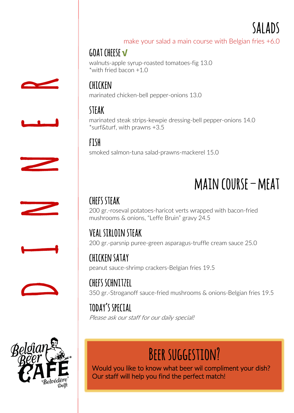

make your salad a main course with Belgian fries +6.0

### goat cheese **√**

walnuts-apple syrup-roasted tomatoes-fig 13.0 \*with fried bacon +1.0

### chicken marinated chicken-bell pepper-onions 13.0

steak marinated steak strips-kewpie dressing-bell pepper-onions 14.0 \*surf&turf, with prawns +3.5

fish smoked salmon-tuna salad-prawns-mackerel 15.0

# **MAIN COURSE – MEAT**<br>CHEFS STEAK

200 gr.-roseval potatoes-haricot verts wrapped with bacon-fried mushrooms & onions, "Leffe Bruin" gravy 24.5

### veal sirloin steak

200 gr.-parsnip puree-green asparagus-truffle cream sauce 25.0

chicken satay peanut sauce-shrimp crackers-Belgian fries 19.5

chefs schnitzel 350 gr.-Stroganoff sauce-fried mushrooms & onions-Belgian fries 19.5

today's special Please ask our staff for our daily special!

## BEER SUGGESTION?

Would you like to know what beer wil compliment your dish? Our staff will help you find the perfect match!











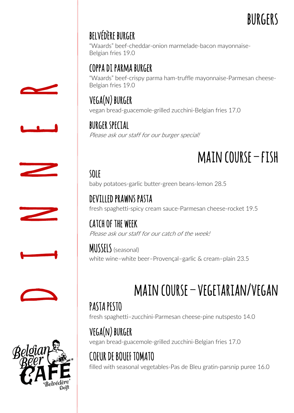## burgers and the set of the BURGERS

## belvédère burger

"Waards" beef-cheddar-onion marmelade-bacon mayonnaise-Belgian fries 19.0

### coppa di parma burger

"Waards" beef-crispy parma ham-truffle mayonnaise-Parmesan cheese-Belgian fries 19.0

vega(n) burger vegan bread-guacemole-grilled zucchini-Belgian fries 17.0

burger special Please ask our staff for our burger special!

# main course – fish<br>sole

baby potatoes-garlic butter-green beans-lemon 28.5

devilled prawns pasta fresh spaghetti-spicy cream sauce-Parmesan cheese-rocket 19.5

catch of the week Please ask our staff for our catch of the week!

MUSSELS (seasonal) white wine–white beer–Provençal–garlic & cream–plain 23.5

## main course – vegetarian/vegan

PASTA PESTO fresh spaghetti–zucchini-Parmesan cheese-pine nutspesto 14.0

vega(n) burger vegan bread-guacemole-grilled zucchini-Belgian fries 17.0

COEUR DE BOUEF TOMATO filled with seasonal vegetables-Pas de Bleu gratin-parsnip puree 16.0